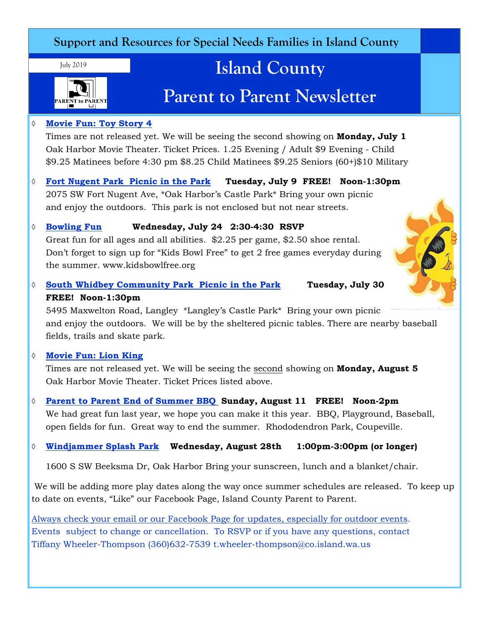### **Support and Resources for Special Needs Families in Island County**

July 2019



# **Island County**

# **Parent to Parent Newsletter**

### **Movie Fun: Toy Story 4**

Times are not released yet. We will be seeing the second showing on **Monday, July 1** Oak Harbor Movie Theater. Ticket Prices. 1.25 Evening / Adult \$9 Evening - Child \$9.25 Matinees before 4:30 pm \$8.25 Child Matinees \$9.25 Seniors (60+)\$10 Military

 **Fort Nugent Park Picnic in the Park Tuesday, July 9 FREE! Noon-1:30pm** 2075 SW Fort Nugent Ave, \*Oak Harbor's Castle Park\* Bring your own picnic and enjoy the outdoors. This park is not enclosed but not near streets.

### **Bowling Fun Wednesday, July 24 2:30-4:30 RSVP**

Great fun for all ages and all abilities. \$2.25 per game, \$2.50 shoe rental. Don't forget to sign up for "Kids Bowl Free" to get 2 free games everyday during the summer. www.kidsbowlfree.org

 **South Whidbey Community Park Picnic in the Park Tuesday, July 30 FREE! Noon-1:30pm**

5495 Maxwelton Road, Langley \*Langley's Castle Park\* Bring your own picnic and enjoy the outdoors. We will be by the sheltered picnic tables. There are nearby baseball fields, trails and skate park.

### **Movie Fun: Lion King**

Times are not released yet. We will be seeing the second showing on **Monday, August 5** Oak Harbor Movie Theater. Ticket Prices listed above.

 **Parent to Parent End of Summer BBQ Sunday, August 11 FREE! Noon-2pm** We had great fun last year, we hope you can make it this year. BBQ, Playground, Baseball, open fields for fun. Great way to end the summer. Rhododendron Park, Coupeville.

### **Windjammer Splash Park Wednesday, August 28th 1:00pm-3:00pm (or longer)**

1600 S SW Beeksma Dr, Oak Harbor Bring your sunscreen, lunch and a blanket/chair.

 We will be adding more play dates along the way once summer schedules are released. To keep up to date on events, "Like" our Facebook Page, Island County Parent to Parent.

Always check your email or our Facebook Page for updates, especially for outdoor events. Events subject to change or cancellation. To RSVP or if you have any questions, contact Tiffany Wheeler-Thompson (360)632-7539 t.wheeler-thompson@co.island.wa.us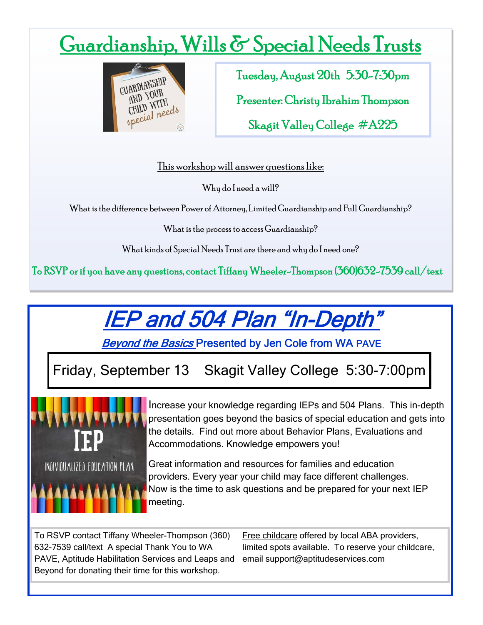# Guardianship, Wills & Special Needs Trusts



Tuesday, August 20th 5:30-7:30pm

Presenter: Christy Ibrahim Thompson

Skagit Valley College #A225

This workshop will answer questions like:

Why do I need a will?

What is the difference between Power of Attorney, Limited Guardianship and Full Guardianship?

What is the process to access Guardianship?

What kinds of Special Needs Trust are there and why do I need one?

To RSVP or if you have any questions, contact Tiffany Wheeler-Thompson (360)632-7539 call/text

# IEP and 504 Plan "In-Depth"

Beyond the Basics Presented by Jen Cole from WA PAVE

### Friday, September 13 Skagit Valley College 5:30-7:00pm



Increase your knowledge regarding IEPs and 504 Plans. This in-depth presentation goes beyond the basics of special education and gets into the details. Find out more about Behavior Plans, Evaluations and Accommodations. Knowledge empowers you!

Great information and resources for families and education providers. Every year your child may face different challenges. Now is the time to ask questions and be prepared for your next IEP meeting.

To RSVP contact Tiffany Wheeler-Thompson (360) 632-7539 call/text A special Thank You to WA PAVE, Aptitude Habilitation Services and Leaps and Beyond for donating their time for this workshop.

Free childcare offered by local ABA providers, limited spots available. To reserve your childcare, email support@aptitudeservices.com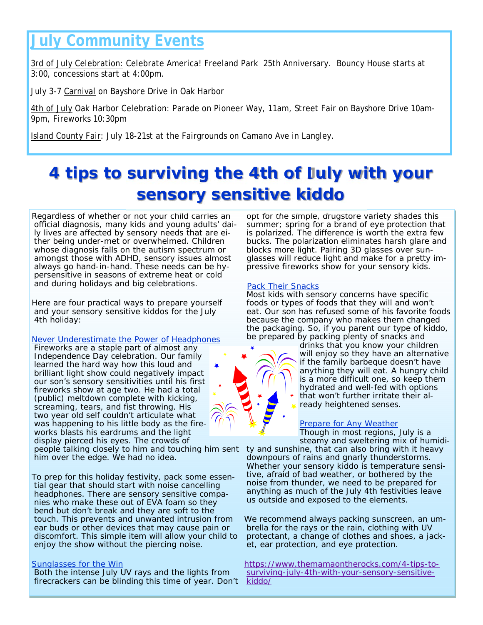## **July Community Events**

3rd of July Celebration: Celebrate America! Freeland Park 25th Anniversary. Bouncy House starts at 3:00, concessions start at 4:00pm.

July 3-7 Carnival on Bayshore Drive in Oak Harbor

4th of July Oak Harbor Celebration: Parade on Pioneer Way, 11am, Street Fair on Bayshore Drive 10am-9pm, Fireworks 10:30pm

Island County Fair: July 18-21st at the Fairgrounds on Camano Ave in Langley.

## **4 tips to surviving the 4th of July with your sensory sensitive kiddo**

Regardless of whether or not your child carries an official diagnosis, many kids and young adults' daily lives are affected by sensory needs that are either being under-met or overwhelmed. Children whose diagnosis falls on the autism spectrum or amongst those with ADHD, sensory issues almost always go hand-in-hand. These needs can be hypersensitive in seasons of extreme heat or cold and during holidays and big celebrations.

Here are four practical ways to prepare yourself and your sensory sensitive kiddos for the July 4th holiday:

#### Never Underestimate the Power of Headphones

Fireworks are a staple part of almost any Independence Day celebration. Our family learned the hard way how this loud and brilliant light show could negatively impact our son's sensory sensitivities until his first fireworks show at age two. He had a total (public) meltdown complete with kicking, screaming, tears, and fist throwing. His two year old self couldn't articulate what was happening to his little body as the fireworks blasts his eardrums and the light display pierced his eyes. The crowds of people talking closely to him and touching him sent him over the edge. We had no idea.

To prep for this holiday festivity, pack some essential gear that should start with noise cancelling headphones. There are sensory sensitive companies who make these out of EVA foam so they bend but don't break and they are soft to the touch. This prevents and unwanted intrusion from ear buds or other devices that may cause pain or discomfort. This simple item will allow your child to enjoy the show without the piercing noise.

#### Sunglasses for the Win

Both the intense July UV rays and the lights from firecrackers can be blinding this time of year. Don't

opt for the simple, drugstore variety shades this summer; spring for a brand of eye protection that is polarized. The difference is worth the extra few bucks. The polarization eliminates harsh glare and blocks more light. Pairing 3D glasses over sunglasses will reduce light and make for a pretty impressive fireworks show for your sensory kids.

#### **Pack Their Snacks**

Most kids with sensory concerns have specific foods or types of foods that they will and won't eat. Our son has refused some of his favorite foods because the company who makes them changed the packaging. So, if you parent our type of kiddo, be prepared by packing plenty of snacks and

drinks that you know your children will enjoy so they have an alternative if the family barbeque doesn't have anything they will eat. A hungry child is a more difficult one, so keep them hydrated and well-fed with options that won't further irritate their already heightened senses.

#### **Prepare for Any Weather**

Though in most regions, July is a steamy and sweltering mix of humidi-

ty and sunshine, that can also bring with it heavy downpours of rains and gnarly thunderstorms. Whether your sensory kiddo is temperature sensitive, afraid of bad weather, or bothered by the noise from thunder, we need to be prepared for anything as much of the July 4th festivities leave us outside and exposed to the elements.

We recommend always packing sunscreen, an umbrella for the rays or the rain, clothing with UV protectant, a change of clothes and shoes, a jacket, ear protection, and eye protection.

https://www.themamaontherocks.com/4-tips-tosurviving-july-4th-with-your-sensory-sensitivekiddo/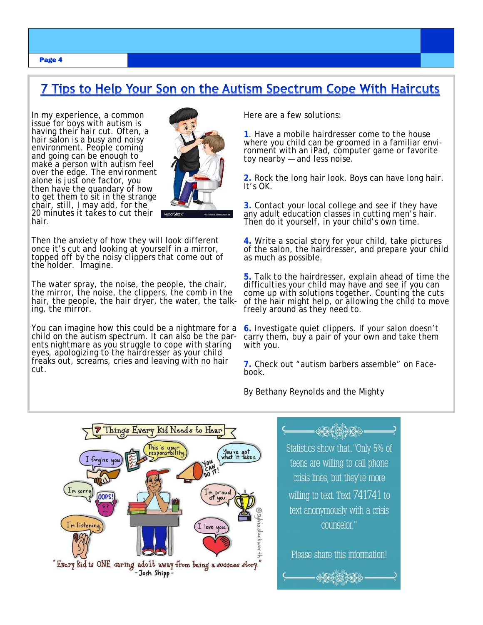### 7 Tips to Help Your Son on the Autism Spectrum Cope With Haircuts

In my experience, a common issue for boys with autism is having their hair cut. Often, a hair salon is a busy and noisy environment. People coming and going can be enough to make a person with autism feel over the edge. The environment alone is just one factor, you then have the quandary of how to get them to sit in the strange chair, still, I may add, for the 20 minutes it takes to cut their hair.



Then the anxiety of how they will look different<br>once it's cut and looking at yourself in a mirror, topped off by the noisy clippers that come out of the holder. Imagine.

The water spray, the noise, the people, the chair, the mirror, the noise, the clippers, the comb in the hair, the people, the hair dryer, the water, the talk-<br>ing, the mirror.

You can imagine how this could be a nightmare for a child on the autism spectrum. It can also be the parents nightmare as you struggle to cope with staring eyes, apologizing to the hairdresser as your child freaks out, screams, cries and leaving with no hair cut.

Here are a few solutions:

**1**. Have a mobile hairdresser come to the house where you child can be groomed in a familiar environment with an iPad, computer game or favorite toy nearby — and less noise.

**2.** Rock the long hair look. Boys can have long hair. It's OK.

**3.** Contact your local college and see if they have any adult education classes in cutting men's hair. Then do it yourself, in your child's own time.

**4.** Write a social story for your child, take pictures of the salon, the hairdresser, and prepare your child as much as possible.

**5.** Talk to the hairdresser, explain ahead of time the difficulties your child may have and see if you can come up with solutions together. Counting the cuts of the hair might help, or allowing the child to move freely around as they need to.

**6.** Investigate quiet clippers. If your salon doesn't carry them, buy a pair of your own and take them with you.

**7.** Check out "autism barbers assemble" on Facebook.

By Bethany Reynolds and the Mighty





Page 4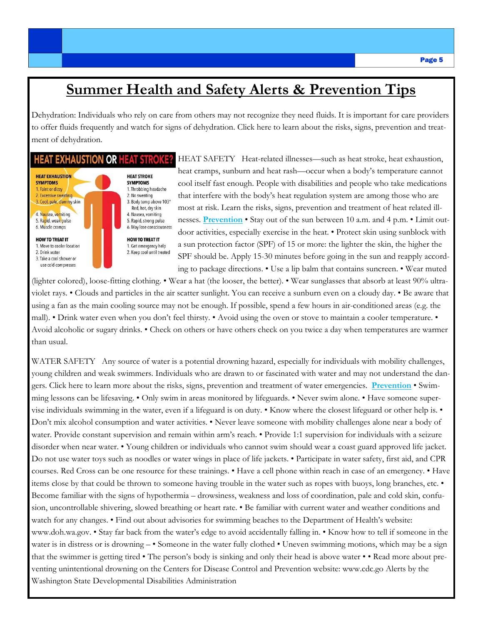### **Summer Health and Safety Alerts & Prevention Tips**

Dehydration: Individuals who rely on care from others may not recognize they need fluids. It is important for care providers to offer fluids frequently and watch for signs of dehydration. Click here to learn about the risks, signs, prevention and treatment of dehydration.

#### **HEAT EXHAUSTION OR HEAT STROKE?**



HEAT SAFETY Heat-related illnesses—such as heat stroke, heat exhaustion, heat cramps, sunburn and heat rash—occur when a body's temperature cannot cool itself fast enough. People with disabilities and people who take medications that interfere with the body's heat regulation system are among those who are most at risk. Learn the risks, signs, prevention and treatment of heat related illnesses. **Prevention** • Stay out of the sun between 10 a.m. and 4 p.m. • Limit outdoor activities, especially exercise in the heat. • Protect skin using sunblock with a sun protection factor (SPF) of 15 or more: the lighter the skin, the higher the SPF should be. Apply 15-30 minutes before going in the sun and reapply according to package directions. • Use a lip balm that contains suncreen. • Wear muted

(lighter colored), loose-fitting clothing. • Wear a hat (the looser, the better). • Wear sunglasses that absorb at least 90% ultraviolet rays. • Clouds and particles in the air scatter sunlight. You can receive a sunburn even on a cloudy day. • Be aware that using a fan as the main cooling source may not be enough. If possible, spend a few hours in air-conditioned areas (e.g. the mall). • Drink water even when you don't feel thirsty. • Avoid using the oven or stove to maintain a cooler temperature. • Avoid alcoholic or sugary drinks. • Check on others or have others check on you twice a day when temperatures are warmer than usual.

WATER SAFETY Any source of water is a potential drowning hazard, especially for individuals with mobility challenges, young children and weak swimmers. Individuals who are drawn to or fascinated with water and may not understand the dangers. Click here to learn more about the risks, signs, prevention and treatment of water emergencies. **Prevention** • Swimming lessons can be lifesaving. • Only swim in areas monitored by lifeguards. • Never swim alone. • Have someone supervise individuals swimming in the water, even if a lifeguard is on duty. • Know where the closest lifeguard or other help is. • Don't mix alcohol consumption and water activities. • Never leave someone with mobility challenges alone near a body of water. Provide constant supervision and remain within arm's reach. • Provide 1:1 supervision for individuals with a seizure disorder when near water. • Young children or individuals who cannot swim should wear a coast guard approved life jacket. Do not use water toys such as noodles or water wings in place of life jackets. • Participate in water safety, first aid, and CPR courses. Red Cross can be one resource for these trainings. • Have a cell phone within reach in case of an emergency. • Have items close by that could be thrown to someone having trouble in the water such as ropes with buoys, long branches, etc. • Become familiar with the signs of hypothermia – drowsiness, weakness and loss of coordination, pale and cold skin, confusion, uncontrollable shivering, slowed breathing or heart rate. • Be familiar with current water and weather conditions and watch for any changes. • Find out about advisories for swimming beaches to the Department of Health's website: www.doh.wa.gov. • Stay far back from the water's edge to avoid accidentally falling in. • Know how to tell if someone in the water is in distress or is drowning – • Someone in the water fully clothed • Uneven swimming motions, which may be a sign that the swimmer is getting tired • The person's body is sinking and only their head is above water • • Read more about preventing unintentional drowning on the Centers for Disease Control and Prevention website: www.cdc.go Alerts by the Washington State Developmental Disabilities Administration